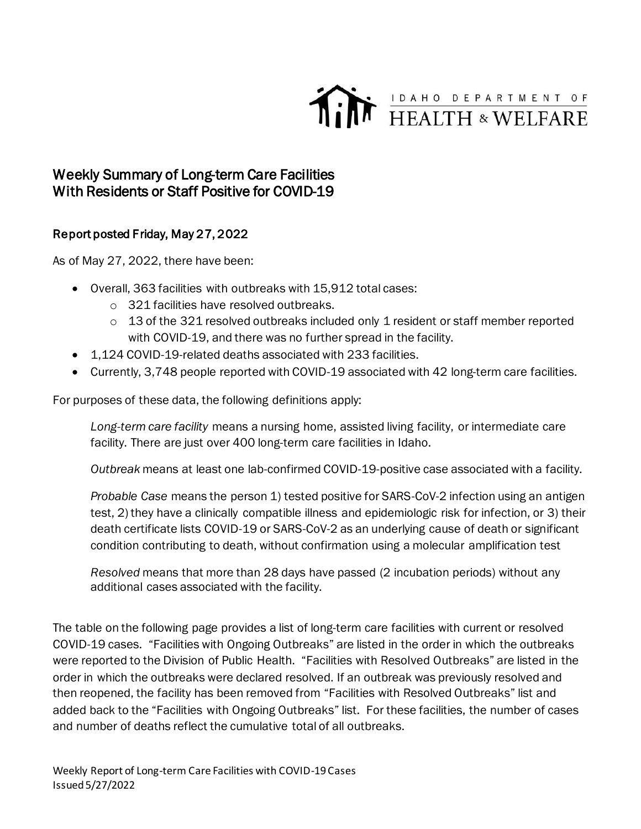

## Weekly Summary of Long-term Care Facilities With Residents or Staff Positive for COVID-19

## Report posted Friday, May 27, 2022

As of May 27, 2022, there have been:

- Overall, 363 facilities with outbreaks with 15,912 total cases:
	- o 321 facilities have resolved outbreaks.
	- o 13 of the 321 resolved outbreaks included only 1 resident or staff member reported with COVID-19, and there was no further spread in the facility.
- 1,124 COVID-19-related deaths associated with 233 facilities.
- Currently, 3,748 people reported with COVID-19 associated with 42 long-term care facilities.

For purposes of these data, the following definitions apply:

*Long-term care facility* means a nursing home, assisted living facility, or intermediate care facility. There are just over 400 long-term care facilities in Idaho.

*Outbreak* means at least one lab-confirmed COVID-19-positive case associated with a facility.

*Probable Case* means the person 1) tested positive for SARS-CoV-2 infection using an antigen test, 2) they have a clinically compatible illness and epidemiologic risk for infection, or 3) their death certificate lists COVID-19 or SARS-CoV-2 as an underlying cause of death or significant condition contributing to death, without confirmation using a molecular amplification test

*Resolved* means that more than 28 days have passed (2 incubation periods) without any additional cases associated with the facility.

The table on the following page provides a list of long-term care facilities with current or resolved COVID-19 cases. "Facilities with Ongoing Outbreaks" are listed in the order in which the outbreaks were reported to the Division of Public Health. "Facilities with Resolved Outbreaks" are listed in the order in which the outbreaks were declared resolved. If an outbreak was previously resolved and then reopened, the facility has been removed from "Facilities with Resolved Outbreaks" list and added back to the "Facilities with Ongoing Outbreaks" list. For these facilities, the number of cases and number of deaths reflect the cumulative total of all outbreaks.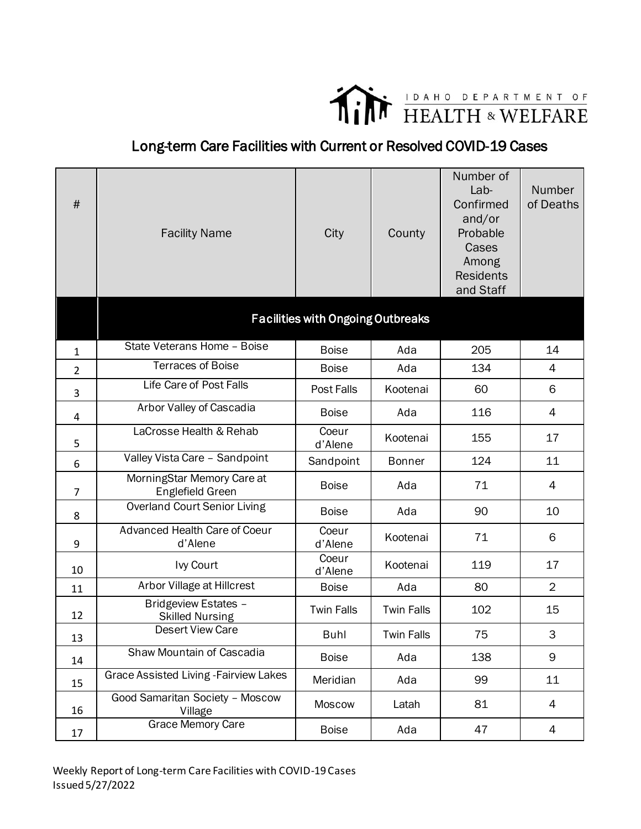

## Long-term Care Facilities with Current or Resolved COVID-19 Cases

| $\#$           | <b>Facility Name</b>                           | City                                     | County            | Number of<br>Lab-<br>Confirmed<br>and/or<br>Probable<br>Cases<br>Among<br><b>Residents</b><br>and Staff | Number<br>of Deaths |
|----------------|------------------------------------------------|------------------------------------------|-------------------|---------------------------------------------------------------------------------------------------------|---------------------|
|                |                                                | <b>Facilities with Ongoing Outbreaks</b> |                   |                                                                                                         |                     |
| $\mathbf{1}$   | State Veterans Home - Boise                    | <b>Boise</b>                             | Ada               | 205                                                                                                     | 14                  |
| $\overline{2}$ | <b>Terraces of Boise</b>                       | <b>Boise</b>                             | Ada               | 134                                                                                                     | 4                   |
| 3              | Life Care of Post Falls                        | Post Falls                               | Kootenai          | 60                                                                                                      | 6                   |
| 4              | Arbor Valley of Cascadia                       | <b>Boise</b>                             | Ada               | 116                                                                                                     | 4                   |
| 5              | LaCrosse Health & Rehab                        | Coeur<br>d'Alene                         | Kootenai          | 155                                                                                                     | 17                  |
| 6              | Valley Vista Care - Sandpoint                  | Sandpoint                                | <b>Bonner</b>     | 124                                                                                                     | 11                  |
| $\overline{7}$ | MorningStar Memory Care at<br>Englefield Green | <b>Boise</b>                             | Ada               | 71                                                                                                      | 4                   |
| 8              | <b>Overland Court Senior Living</b>            | <b>Boise</b>                             | Ada               | 90                                                                                                      | 10                  |
| 9              | Advanced Health Care of Coeur<br>d'Alene       | Coeur<br>d'Alene                         | Kootenai          | 71                                                                                                      | 6                   |
| 10             | Ivy Court                                      | Coeur<br>d'Alene                         | Kootenai          | 119                                                                                                     | 17                  |
| 11             | Arbor Village at Hillcrest                     | <b>Boise</b>                             | Ada               | 80                                                                                                      | $\overline{2}$      |
| 12             | Bridgeview Estates -<br><b>Skilled Nursing</b> | <b>Twin Falls</b>                        | <b>Twin Falls</b> | 102                                                                                                     | 15                  |
| 13             | <b>Desert View Care</b>                        | Buhl                                     | <b>Twin Falls</b> | 75                                                                                                      | 3                   |
| 14             | Shaw Mountain of Cascadia                      | <b>Boise</b>                             | Ada               | 138                                                                                                     | 9                   |
| 15             | <b>Grace Assisted Living - Fairview Lakes</b>  | Meridian                                 | Ada               | 99                                                                                                      | 11                  |
| 16             | Good Samaritan Society - Moscow<br>Village     | Moscow                                   | Latah             | 81                                                                                                      | $\overline{4}$      |
| 17             | Grace Memory Care                              | <b>Boise</b>                             | Ada               | 47                                                                                                      | 4                   |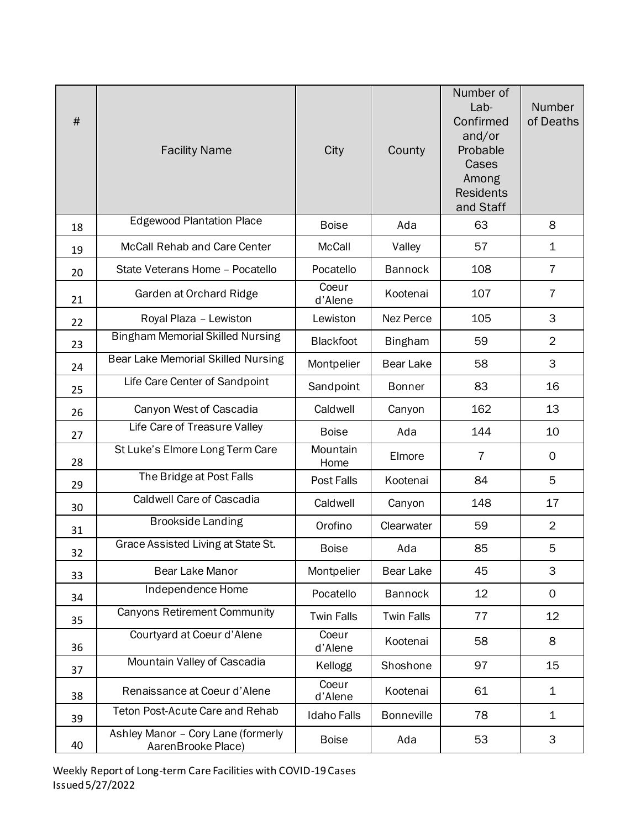| $\#$ | <b>Facility Name</b>                                     | City               | County            | Number of<br>Lab-<br>Confirmed<br>and/or<br>Probable<br>Cases<br>Among<br><b>Residents</b><br>and Staff | Number<br>of Deaths |
|------|----------------------------------------------------------|--------------------|-------------------|---------------------------------------------------------------------------------------------------------|---------------------|
| 18   | <b>Edgewood Plantation Place</b>                         | <b>Boise</b>       | Ada               | 63                                                                                                      | 8                   |
| 19   | McCall Rehab and Care Center                             | <b>McCall</b>      | Valley            | 57                                                                                                      | $\mathbf 1$         |
| 20   | State Veterans Home - Pocatello                          | Pocatello          | <b>Bannock</b>    | 108                                                                                                     | $\overline{7}$      |
| 21   | Garden at Orchard Ridge                                  | Coeur<br>d'Alene   | Kootenai          | 107                                                                                                     | $\overline{7}$      |
| 22   | Royal Plaza - Lewiston                                   | Lewiston           | Nez Perce         | 105                                                                                                     | 3                   |
| 23   | <b>Bingham Memorial Skilled Nursing</b>                  | <b>Blackfoot</b>   | <b>Bingham</b>    | 59                                                                                                      | $\overline{2}$      |
| 24   | Bear Lake Memorial Skilled Nursing                       | Montpelier         | <b>Bear Lake</b>  | 58                                                                                                      | 3                   |
| 25   | Life Care Center of Sandpoint                            | Sandpoint          | <b>Bonner</b>     | 83                                                                                                      | 16                  |
| 26   | Canyon West of Cascadia                                  | Caldwell           | Canyon            | 162                                                                                                     | 13                  |
| 27   | Life Care of Treasure Valley                             | <b>Boise</b>       | Ada               | 144                                                                                                     | 10                  |
| 28   | St Luke's Elmore Long Term Care                          | Mountain<br>Home   | Elmore            | $\overline{7}$                                                                                          | 0                   |
| 29   | The Bridge at Post Falls                                 | Post Falls         | Kootenai          | 84                                                                                                      | 5                   |
| 30   | <b>Caldwell Care of Cascadia</b>                         | Caldwell           | Canyon            | 148                                                                                                     | 17                  |
| 31   | <b>Brookside Landing</b>                                 | Orofino            | Clearwater        | 59                                                                                                      | $\overline{2}$      |
| 32   | Grace Assisted Living at State St.                       | <b>Boise</b>       | Ada               | 85                                                                                                      | 5                   |
| 33   | Bear Lake Manor                                          | Montpelier         | Bear Lake         | 45                                                                                                      | 3                   |
| 34   | Independence Home                                        | Pocatello          | <b>Bannock</b>    | 12                                                                                                      | 0                   |
| 35   | <b>Canyons Retirement Community</b>                      | <b>Twin Falls</b>  | <b>Twin Falls</b> | 77                                                                                                      | 12                  |
| 36   | Courtyard at Coeur d'Alene                               | Coeur<br>d'Alene   | Kootenai          | 58                                                                                                      | 8                   |
| 37   | Mountain Valley of Cascadia                              | Kellogg            | Shoshone          | 97                                                                                                      | 15                  |
| 38   | Renaissance at Coeur d'Alene                             | Coeur<br>d'Alene   | Kootenai          | 61                                                                                                      | $\mathbf 1$         |
| 39   | <b>Teton Post-Acute Care and Rehab</b>                   | <b>Idaho Falls</b> | <b>Bonneville</b> | 78                                                                                                      | $\mathbf 1$         |
| 40   | Ashley Manor - Cory Lane (formerly<br>AarenBrooke Place) | <b>Boise</b>       | Ada               | 53                                                                                                      | 3                   |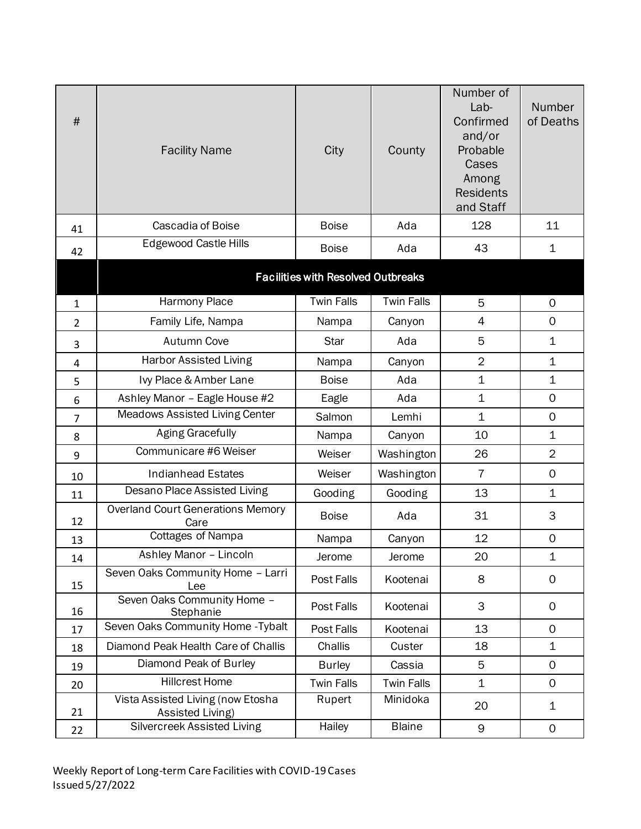| #              | <b>Facility Name</b>                                  | City                                      | County            | Number of<br>Lab-<br>Confirmed<br>and/or<br>Probable<br>Cases<br>Among<br><b>Residents</b><br>and Staff | <b>Number</b><br>of Deaths |
|----------------|-------------------------------------------------------|-------------------------------------------|-------------------|---------------------------------------------------------------------------------------------------------|----------------------------|
| 41             | Cascadia of Boise                                     | <b>Boise</b>                              | Ada               | 128                                                                                                     | 11                         |
| 42             | <b>Edgewood Castle Hills</b>                          | <b>Boise</b>                              | Ada               | 43                                                                                                      | 1                          |
|                |                                                       | <b>Facilities with Resolved Outbreaks</b> |                   |                                                                                                         |                            |
| $\mathbf 1$    | Harmony Place                                         | <b>Twin Falls</b>                         | <b>Twin Falls</b> | 5                                                                                                       | 0                          |
| $\overline{2}$ | Family Life, Nampa                                    | Nampa                                     | Canyon            | $\overline{4}$                                                                                          | $\mathbf 0$                |
| 3              | Autumn Cove                                           | <b>Star</b>                               | Ada               | 5                                                                                                       | 1                          |
| 4              | <b>Harbor Assisted Living</b>                         | Nampa                                     | Canyon            | $\overline{2}$                                                                                          | $\mathbf 1$                |
| 5              | Ivy Place & Amber Lane                                | <b>Boise</b>                              | Ada               | $\mathbf 1$                                                                                             | 1                          |
| 6              | Ashley Manor - Eagle House #2                         | Eagle                                     | Ada               | $\mathbf 1$                                                                                             | $\mathbf 0$                |
| $\overline{7}$ | <b>Meadows Assisted Living Center</b>                 | Salmon                                    | Lemhi             | 1                                                                                                       | $\mathsf{O}\xspace$        |
| 8              | <b>Aging Gracefully</b>                               | Nampa                                     | Canyon            | 10                                                                                                      | 1                          |
| 9              | Communicare #6 Weiser                                 | Weiser                                    | Washington        | 26                                                                                                      | $\overline{2}$             |
| 10             | <b>Indianhead Estates</b>                             | Weiser                                    | Washington        | $\overline{7}$                                                                                          | $\mathbf 0$                |
| 11             | Desano Place Assisted Living                          | Gooding                                   | Gooding           | 13                                                                                                      | 1                          |
| 12             | <b>Overland Court Generations Memory</b><br>Care      | <b>Boise</b>                              | Ada               | 31                                                                                                      | 3                          |
| 13             | <b>Cottages of Nampa</b>                              | Nampa                                     | Canyon            | 12                                                                                                      | $\mathsf{O}\xspace$        |
| 14             | Ashley Manor - Lincoln                                | Jerome                                    | Jerome            | 20                                                                                                      | $\mathbf 1$                |
| 15             | Seven Oaks Community Home - Larri<br>Lee              | Post Falls                                | Kootenai          | 8                                                                                                       | $\mathbf 0$                |
| 16             | Seven Oaks Community Home -<br>Stephanie              | Post Falls                                | Kootenai          | 3                                                                                                       | $\mathbf 0$                |
| 17             | Seven Oaks Community Home - Tybalt                    | Post Falls                                | Kootenai          | 13                                                                                                      | $\mathbf 0$                |
| 18             | Diamond Peak Health Care of Challis                   | Challis                                   | Custer            | 18                                                                                                      | 1                          |
| 19             | Diamond Peak of Burley                                | <b>Burley</b>                             | Cassia            | 5                                                                                                       | $\mathsf{O}$               |
| 20             | <b>Hillcrest Home</b>                                 | <b>Twin Falls</b>                         | <b>Twin Falls</b> | $\mathbf 1$                                                                                             | $\mathbf 0$                |
| 21             | Vista Assisted Living (now Etosha<br>Assisted Living) | Rupert                                    | Minidoka          | 20                                                                                                      | 1                          |
| 22             | Silvercreek Assisted Living                           | Hailey                                    | <b>Blaine</b>     | 9                                                                                                       | $\mathsf{O}$               |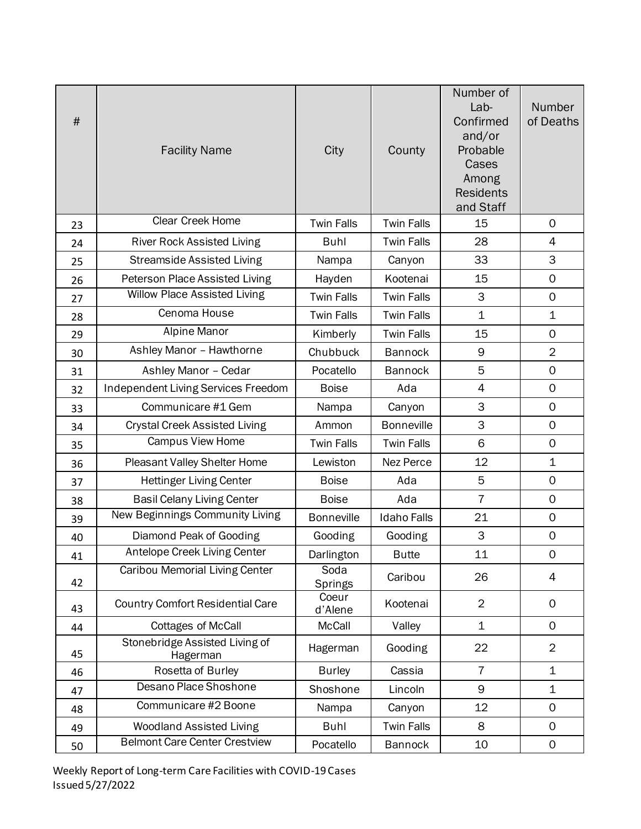| $\#$ | <b>Facility Name</b>                       | City              | County             | Number of<br>Lab-<br>Confirmed<br>and/or<br>Probable<br>Cases<br>Among<br><b>Residents</b><br>and Staff | Number<br>of Deaths |
|------|--------------------------------------------|-------------------|--------------------|---------------------------------------------------------------------------------------------------------|---------------------|
| 23   | Clear Creek Home                           | <b>Twin Falls</b> | <b>Twin Falls</b>  | 15                                                                                                      | $\mathsf{O}$        |
| 24   | <b>River Rock Assisted Living</b>          | Buhl              | <b>Twin Falls</b>  | 28                                                                                                      | 4                   |
| 25   | <b>Streamside Assisted Living</b>          | Nampa             | Canyon             | 33                                                                                                      | 3                   |
| 26   | Peterson Place Assisted Living             | Hayden            | Kootenai           | 15                                                                                                      | $\mathsf{O}\xspace$ |
| 27   | <b>Willow Place Assisted Living</b>        | <b>Twin Falls</b> | <b>Twin Falls</b>  | 3                                                                                                       | $\mathsf{O}\xspace$ |
| 28   | Cenoma House                               | <b>Twin Falls</b> | <b>Twin Falls</b>  | $\mathbf{1}$                                                                                            | $\mathbf 1$         |
| 29   | Alpine Manor                               | Kimberly          | <b>Twin Falls</b>  | 15                                                                                                      | $\mathbf 0$         |
| 30   | Ashley Manor - Hawthorne                   | Chubbuck          | <b>Bannock</b>     | 9                                                                                                       | $\overline{2}$      |
| 31   | Ashley Manor - Cedar                       | Pocatello         | <b>Bannock</b>     | 5                                                                                                       | 0                   |
| 32   | Independent Living Services Freedom        | <b>Boise</b>      | Ada                | 4                                                                                                       | $\mathsf{O}$        |
| 33   | Communicare #1 Gem                         | Nampa             | Canyon             | 3                                                                                                       | $\mathbf 0$         |
| 34   | <b>Crystal Creek Assisted Living</b>       | Ammon             | <b>Bonneville</b>  | 3                                                                                                       | $\mathbf 0$         |
| 35   | <b>Campus View Home</b>                    | <b>Twin Falls</b> | <b>Twin Falls</b>  | 6                                                                                                       | $\mathbf 0$         |
| 36   | Pleasant Valley Shelter Home               | Lewiston          | Nez Perce          | 12                                                                                                      | $\mathbf 1$         |
| 37   | <b>Hettinger Living Center</b>             | <b>Boise</b>      | Ada                | 5                                                                                                       | $\mathsf{O}\xspace$ |
| 38   | <b>Basil Celany Living Center</b>          | <b>Boise</b>      | Ada                | $\overline{7}$                                                                                          | $\mathbf 0$         |
| 39   | New Beginnings Community Living            | <b>Bonneville</b> | <b>Idaho Falls</b> | 21                                                                                                      | $\mathsf{O}\xspace$ |
| 40   | Diamond Peak of Gooding                    | Gooding           | Gooding            | 3                                                                                                       | $\mathsf{O}\xspace$ |
| 41   | Antelope Creek Living Center               | Darlington        | <b>Butte</b>       | 11                                                                                                      | $\mathbf 0$         |
| 42   | Caribou Memorial Living Center             | Soda<br>Springs   | Caribou            | 26                                                                                                      | $\overline{4}$      |
| 43   | <b>Country Comfort Residential Care</b>    | Coeur<br>d'Alene  | Kootenai           | $\overline{2}$                                                                                          | $\mathsf{O}$        |
| 44   | <b>Cottages of McCall</b>                  | McCall            | Valley             | $\mathbf 1$                                                                                             | $\mathbf 0$         |
| 45   | Stonebridge Assisted Living of<br>Hagerman | Hagerman          | Gooding            | 22                                                                                                      | $\overline{2}$      |
| 46   | Rosetta of Burley                          | <b>Burley</b>     | Cassia             | $\overline{7}$                                                                                          | $\mathbf 1$         |
| 47   | Desano Place Shoshone                      | Shoshone          | Lincoln            | 9                                                                                                       | $\mathbf 1$         |
| 48   | Communicare #2 Boone                       | Nampa             | Canyon             | 12                                                                                                      | $\mathsf{O}$        |
| 49   | <b>Woodland Assisted Living</b>            | <b>Buhl</b>       | <b>Twin Falls</b>  | 8                                                                                                       | $\mathsf{O}$        |
| 50   | <b>Belmont Care Center Crestview</b>       | Pocatello         | <b>Bannock</b>     | 10                                                                                                      | 0                   |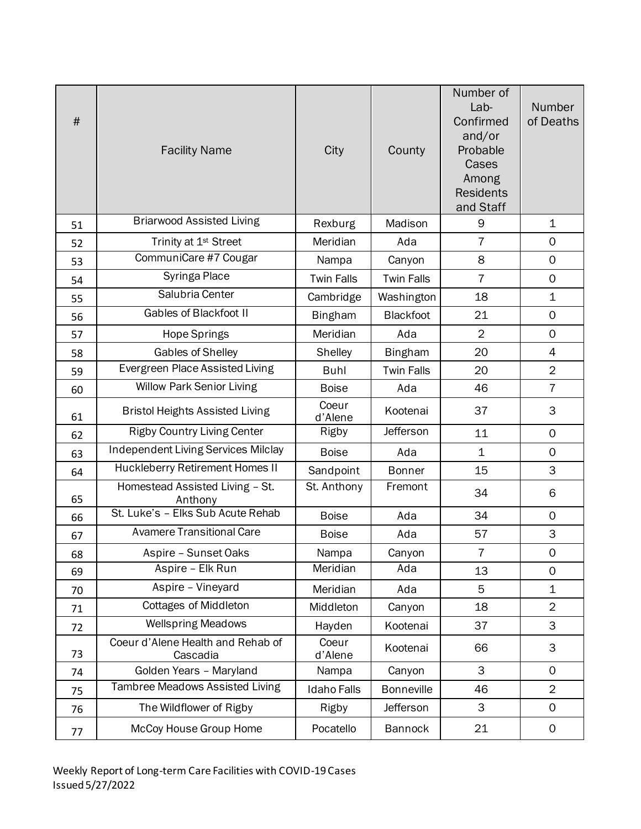| $\#$ | <b>Facility Name</b>                          | City               | County            | Number of<br>Lab-<br>Confirmed<br>and/or<br>Probable<br>Cases<br>Among<br><b>Residents</b><br>and Staff | Number<br>of Deaths |
|------|-----------------------------------------------|--------------------|-------------------|---------------------------------------------------------------------------------------------------------|---------------------|
| 51   | <b>Briarwood Assisted Living</b>              | Rexburg            | Madison           | 9                                                                                                       | $\mathbf 1$         |
| 52   | Trinity at 1 <sup>st</sup> Street             | Meridian           | Ada               | $\overline{7}$                                                                                          | 0                   |
| 53   | CommuniCare #7 Cougar                         | Nampa              | Canyon            | 8                                                                                                       | $\mathbf 0$         |
| 54   | Syringa Place                                 | <b>Twin Falls</b>  | <b>Twin Falls</b> | $\overline{7}$                                                                                          | 0                   |
| 55   | Salubria Center                               | Cambridge          | Washington        | 18                                                                                                      | $\mathbf 1$         |
| 56   | Gables of Blackfoot II                        | <b>Bingham</b>     | <b>Blackfoot</b>  | 21                                                                                                      | $\mathsf{O}\xspace$ |
| 57   | Hope Springs                                  | Meridian           | Ada               | $\overline{2}$                                                                                          | $\mathbf 0$         |
| 58   | Gables of Shelley                             | Shelley            | <b>Bingham</b>    | 20                                                                                                      | 4                   |
| 59   | Evergreen Place Assisted Living               | <b>Buhl</b>        | <b>Twin Falls</b> | 20                                                                                                      | $\overline{2}$      |
| 60   | Willow Park Senior Living                     | <b>Boise</b>       | Ada               | 46                                                                                                      | $\overline{7}$      |
| 61   | <b>Bristol Heights Assisted Living</b>        | Coeur<br>d'Alene   | Kootenai          | 37                                                                                                      | 3                   |
| 62   | <b>Rigby Country Living Center</b>            | Rigby              | <b>Jefferson</b>  | 11                                                                                                      | $\mathsf{O}$        |
| 63   | <b>Independent Living Services Milclay</b>    | <b>Boise</b>       | Ada               | $\mathbf 1$                                                                                             | $\mathsf{O}$        |
| 64   | Huckleberry Retirement Homes II               | Sandpoint          | <b>Bonner</b>     | 15                                                                                                      | 3                   |
| 65   | Homestead Assisted Living - St.<br>Anthony    | St. Anthony        | Fremont           | 34                                                                                                      | 6                   |
| 66   | St. Luke's - Elks Sub Acute Rehab             | <b>Boise</b>       | Ada               | 34                                                                                                      | $\mathsf{O}$        |
| 67   | <b>Avamere Transitional Care</b>              | <b>Boise</b>       | Ada               | 57                                                                                                      | 3                   |
| 68   | Aspire - Sunset Oaks                          | Nampa              | Canyon            | $\overline{7}$                                                                                          | $\mathsf{O}\xspace$ |
| 69   | Aspire - Elk Run                              | Meridian           | Ada               | 13                                                                                                      | $\mathsf{O}$        |
| 70   | Aspire - Vineyard                             | Meridian           | Ada               | 5                                                                                                       | $\mathbf 1$         |
| 71   | <b>Cottages of Middleton</b>                  | Middleton          | Canyon            | 18                                                                                                      | $\overline{2}$      |
| 72   | <b>Wellspring Meadows</b>                     | Hayden             | Kootenai          | 37                                                                                                      | 3                   |
| 73   | Coeur d'Alene Health and Rehab of<br>Cascadia | Coeur<br>d'Alene   | Kootenai          | 66                                                                                                      | 3                   |
| 74   | Golden Years - Maryland                       | Nampa              | Canyon            | 3                                                                                                       | $\mathsf{O}$        |
| 75   | <b>Tambree Meadows Assisted Living</b>        | <b>Idaho Falls</b> | <b>Bonneville</b> | 46                                                                                                      | $\overline{2}$      |
| 76   | The Wildflower of Rigby                       | Rigby              | Jefferson         | 3                                                                                                       | $\mathsf{O}$        |
| 77   | McCoy House Group Home                        | Pocatello          | <b>Bannock</b>    | 21                                                                                                      | $\mathsf O$         |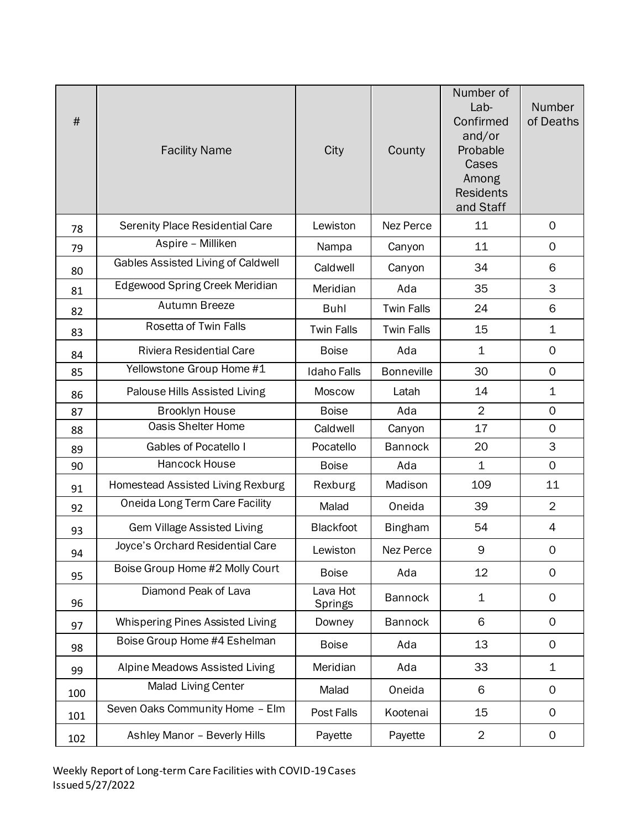| $\#$ | <b>Facility Name</b>               | City                | County            | Number of<br>Lab-<br>Confirmed<br>and/or<br>Probable<br>Cases<br>Among<br><b>Residents</b><br>and Staff | Number<br>of Deaths |
|------|------------------------------------|---------------------|-------------------|---------------------------------------------------------------------------------------------------------|---------------------|
| 78   | Serenity Place Residential Care    | Lewiston            | Nez Perce         | 11                                                                                                      | $\mathsf{O}$        |
| 79   | Aspire - Milliken                  | Nampa               | Canyon            | 11                                                                                                      | $\mathsf{O}$        |
| 80   | Gables Assisted Living of Caldwell | Caldwell            | Canyon            | 34                                                                                                      | 6                   |
| 81   | Edgewood Spring Creek Meridian     | Meridian            | Ada               | 35                                                                                                      | 3                   |
| 82   | <b>Autumn Breeze</b>               | <b>Buhl</b>         | <b>Twin Falls</b> | 24                                                                                                      | 6                   |
| 83   | Rosetta of Twin Falls              | <b>Twin Falls</b>   | <b>Twin Falls</b> | 15                                                                                                      | $\mathbf 1$         |
| 84   | <b>Riviera Residential Care</b>    | <b>Boise</b>        | Ada               | $\mathbf 1$                                                                                             | 0                   |
| 85   | Yellowstone Group Home #1          | <b>Idaho Falls</b>  | <b>Bonneville</b> | 30                                                                                                      | $\mathbf 0$         |
| 86   | Palouse Hills Assisted Living      | <b>Moscow</b>       | Latah             | 14                                                                                                      | $\mathbf 1$         |
| 87   | <b>Brooklyn House</b>              | <b>Boise</b>        | Ada               | $\overline{2}$                                                                                          | $\mathbf 0$         |
| 88   | Oasis Shelter Home                 | Caldwell            | Canyon            | 17                                                                                                      | $\mathsf{O}\xspace$ |
| 89   | Gables of Pocatello I              | Pocatello           | <b>Bannock</b>    | 20                                                                                                      | 3                   |
| 90   | Hancock House                      | <b>Boise</b>        | Ada               | $\mathbf 1$                                                                                             | $\mathbf 0$         |
| 91   | Homestead Assisted Living Rexburg  | Rexburg             | Madison           | 109                                                                                                     | 11                  |
| 92   | Oneida Long Term Care Facility     | Malad               | Oneida            | 39                                                                                                      | $\overline{2}$      |
| 93   | <b>Gem Village Assisted Living</b> | <b>Blackfoot</b>    | <b>Bingham</b>    | 54                                                                                                      | 4                   |
| 94   | Joyce's Orchard Residential Care   | Lewiston            | Nez Perce         | 9                                                                                                       | 0                   |
| 95   | Boise Group Home #2 Molly Court    | <b>Boise</b>        | Ada               | 12                                                                                                      | 0                   |
| 96   | Diamond Peak of Lava               | Lava Hot<br>Springs | <b>Bannock</b>    | $\mathbf 1$                                                                                             | 0                   |
| 97   | Whispering Pines Assisted Living   | Downey              | <b>Bannock</b>    | 6                                                                                                       | $\mathsf{O}$        |
| 98   | Boise Group Home #4 Eshelman       | <b>Boise</b>        | Ada               | 13                                                                                                      | 0                   |
| 99   | Alpine Meadows Assisted Living     | Meridian            | Ada               | 33                                                                                                      | $\mathbf 1$         |
| 100  | <b>Malad Living Center</b>         | Malad               | Oneida            | 6                                                                                                       | 0                   |
| 101  | Seven Oaks Community Home - Elm    | Post Falls          | Kootenai          | 15                                                                                                      | 0                   |
| 102  | Ashley Manor - Beverly Hills       | Payette             | Payette           | $\overline{2}$                                                                                          | 0                   |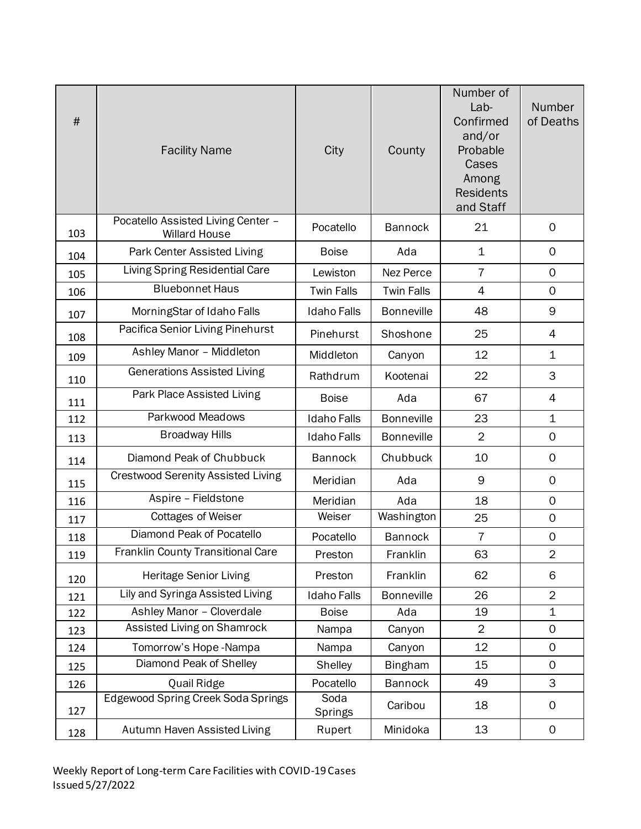| $\#$ | <b>Facility Name</b>                                       | City               | County            | Number of<br>Lab-<br>Confirmed<br>and/or<br>Probable<br>Cases<br>Among<br><b>Residents</b><br>and Staff | Number<br>of Deaths |
|------|------------------------------------------------------------|--------------------|-------------------|---------------------------------------------------------------------------------------------------------|---------------------|
| 103  | Pocatello Assisted Living Center -<br><b>Willard House</b> | Pocatello          | <b>Bannock</b>    | 21                                                                                                      | $\mathbf 0$         |
| 104  | Park Center Assisted Living                                | <b>Boise</b>       | Ada               | $\mathbf 1$                                                                                             | $\mathsf{O}$        |
| 105  | Living Spring Residential Care                             | Lewiston           | Nez Perce         | $\overline{7}$                                                                                          | $\mathbf 0$         |
| 106  | <b>Bluebonnet Haus</b>                                     | <b>Twin Falls</b>  | <b>Twin Falls</b> | 4                                                                                                       | $\mathsf{O}$        |
| 107  | MorningStar of Idaho Falls                                 | <b>Idaho Falls</b> | <b>Bonneville</b> | 48                                                                                                      | 9                   |
| 108  | Pacifica Senior Living Pinehurst                           | Pinehurst          | Shoshone          | 25                                                                                                      | 4                   |
| 109  | Ashley Manor - Middleton                                   | Middleton          | Canyon            | 12                                                                                                      | $\mathbf 1$         |
| 110  | <b>Generations Assisted Living</b>                         | Rathdrum           | Kootenai          | 22                                                                                                      | 3                   |
| 111  | Park Place Assisted Living                                 | <b>Boise</b>       | Ada               | 67                                                                                                      | 4                   |
| 112  | Parkwood Meadows                                           | <b>Idaho Falls</b> | <b>Bonneville</b> | 23                                                                                                      | $\mathbf 1$         |
| 113  | <b>Broadway Hills</b>                                      | <b>Idaho Falls</b> | <b>Bonneville</b> | $\overline{2}$                                                                                          | $\mathsf{O}$        |
| 114  | Diamond Peak of Chubbuck                                   | <b>Bannock</b>     | Chubbuck          | 10                                                                                                      | 0                   |
| 115  | <b>Crestwood Serenity Assisted Living</b>                  | Meridian           | Ada               | 9                                                                                                       | 0                   |
| 116  | Aspire - Fieldstone                                        | Meridian           | Ada               | 18                                                                                                      | $\mathbf 0$         |
| 117  | <b>Cottages of Weiser</b>                                  | Weiser             | Washington        | 25                                                                                                      | $\mathsf{O}\xspace$ |
| 118  | Diamond Peak of Pocatello                                  | Pocatello          | <b>Bannock</b>    | 7                                                                                                       | 0                   |
| 119  | Franklin County Transitional Care                          | Preston            | Franklin          | 63                                                                                                      | 2                   |
| 120  | <b>Heritage Senior Living</b>                              | Preston            | Franklin          | 62                                                                                                      | 6                   |
| 121  | Lily and Syringa Assisted Living                           | <b>Idaho Falls</b> | <b>Bonneville</b> | 26                                                                                                      | $\overline{2}$      |
| 122  | Ashley Manor - Cloverdale                                  | <b>Boise</b>       | Ada               | 19                                                                                                      | $\mathbf 1$         |
| 123  | Assisted Living on Shamrock                                | Nampa              | Canyon            | $\overline{2}$                                                                                          | 0                   |
| 124  | Tomorrow's Hope-Nampa                                      | Nampa              | Canyon            | 12                                                                                                      | 0                   |
| 125  | Diamond Peak of Shelley                                    | Shelley            | <b>Bingham</b>    | 15                                                                                                      | $\mathsf{O}$        |
| 126  | Quail Ridge                                                | Pocatello          | <b>Bannock</b>    | 49                                                                                                      | 3                   |
| 127  | <b>Edgewood Spring Creek Soda Springs</b>                  | Soda<br>Springs    | Caribou           | 18                                                                                                      | 0                   |
| 128  | Autumn Haven Assisted Living                               | Rupert             | Minidoka          | 13                                                                                                      | 0                   |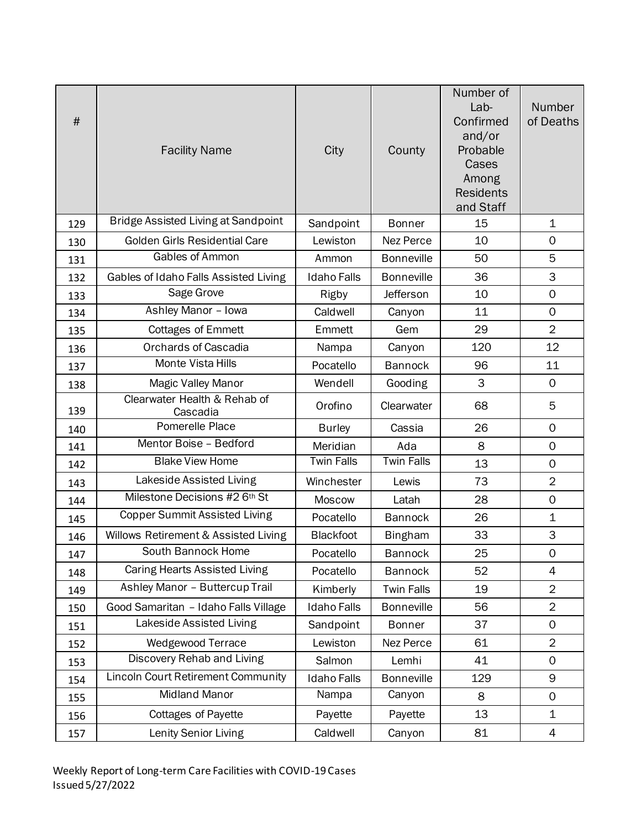| $\#$ | <b>Facility Name</b>                       | City               | County            | Number of<br>Lab-<br>Confirmed<br>and/or<br>Probable<br>Cases<br>Among<br><b>Residents</b><br>and Staff | Number<br>of Deaths |
|------|--------------------------------------------|--------------------|-------------------|---------------------------------------------------------------------------------------------------------|---------------------|
| 129  | <b>Bridge Assisted Living at Sandpoint</b> | Sandpoint          | <b>Bonner</b>     | 15                                                                                                      | $\mathbf 1$         |
| 130  | Golden Girls Residential Care              | Lewiston           | Nez Perce         | 10                                                                                                      | $\mathsf{O}$        |
| 131  | Gables of Ammon                            | Ammon              | <b>Bonneville</b> | 50                                                                                                      | 5                   |
| 132  | Gables of Idaho Falls Assisted Living      | <b>Idaho Falls</b> | <b>Bonneville</b> | 36                                                                                                      | 3                   |
| 133  | Sage Grove                                 | Rigby              | Jefferson         | 10                                                                                                      | $\mathbf 0$         |
| 134  | Ashley Manor - Iowa                        | Caldwell           | Canyon            | 11                                                                                                      | $\mathbf 0$         |
| 135  | <b>Cottages of Emmett</b>                  | Emmett             | Gem               | 29                                                                                                      | $\overline{2}$      |
| 136  | <b>Orchards of Cascadia</b>                | Nampa              | Canyon            | 120                                                                                                     | 12                  |
| 137  | <b>Monte Vista Hills</b>                   | Pocatello          | <b>Bannock</b>    | 96                                                                                                      | 11                  |
| 138  | <b>Magic Valley Manor</b>                  | Wendell            | Gooding           | 3                                                                                                       | $\mathbf 0$         |
| 139  | Clearwater Health & Rehab of<br>Cascadia   | Orofino            | Clearwater        | 68                                                                                                      | 5                   |
| 140  | Pomerelle Place                            | <b>Burley</b>      | Cassia            | 26                                                                                                      | $\mathsf{O}$        |
| 141  | Mentor Boise - Bedford                     | Meridian           | Ada               | 8                                                                                                       | $\mathsf{O}$        |
| 142  | <b>Blake View Home</b>                     | <b>Twin Falls</b>  | <b>Twin Falls</b> | 13                                                                                                      | $\mathbf 0$         |
| 143  | Lakeside Assisted Living                   | Winchester         | Lewis             | 73                                                                                                      | $\overline{2}$      |
| 144  | Milestone Decisions #2 6th St              | <b>Moscow</b>      | Latah             | 28                                                                                                      | $\mathsf{O}\xspace$ |
| 145  | <b>Copper Summit Assisted Living</b>       | Pocatello          | <b>Bannock</b>    | 26                                                                                                      | $\mathbf 1$         |
| 146  | Willows Retirement & Assisted Living       | Blackfoot          | <b>Bingham</b>    | 33                                                                                                      | 3                   |
| 147  | South Bannock Home                         | Pocatello          | <b>Bannock</b>    | 25                                                                                                      | $\mathbf 0$         |
| 148  | <b>Caring Hearts Assisted Living</b>       | Pocatello          | <b>Bannock</b>    | 52                                                                                                      | $\overline{4}$      |
| 149  | Ashley Manor - Buttercup Trail             | Kimberly           | <b>Twin Falls</b> | 19                                                                                                      | $\overline{2}$      |
| 150  | Good Samaritan - Idaho Falls Village       | <b>Idaho Falls</b> | <b>Bonneville</b> | 56                                                                                                      | $\overline{2}$      |
| 151  | Lakeside Assisted Living                   | Sandpoint          | <b>Bonner</b>     | 37                                                                                                      | 0                   |
| 152  | Wedgewood Terrace                          | Lewiston           | Nez Perce         | 61                                                                                                      | $\overline{2}$      |
| 153  | Discovery Rehab and Living                 | Salmon             | Lemhi             | 41                                                                                                      | $\mathbf 0$         |
| 154  | <b>Lincoln Court Retirement Community</b>  | <b>Idaho Falls</b> | <b>Bonneville</b> | 129                                                                                                     | 9                   |
| 155  | <b>Midland Manor</b>                       | Nampa              | Canyon            | 8                                                                                                       | $\mathsf{O}$        |
| 156  | <b>Cottages of Payette</b>                 | Payette            | Payette           | 13                                                                                                      | $\mathbf 1$         |
| 157  | Lenity Senior Living                       | Caldwell           | Canyon            | 81                                                                                                      | 4                   |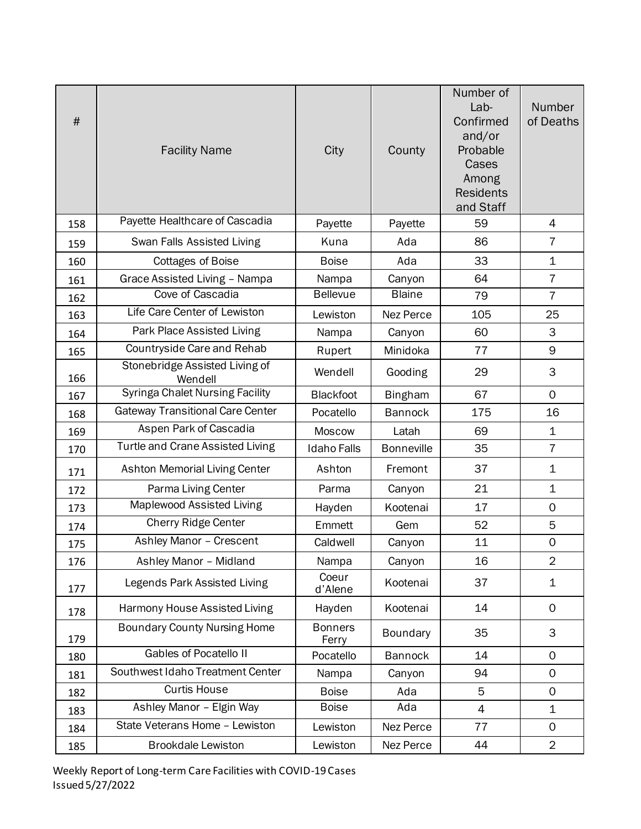| #   | <b>Facility Name</b>                      | City                    | County            | Number of<br>Lab-<br>Confirmed<br>and/or<br>Probable<br>Cases<br>Among<br><b>Residents</b><br>and Staff | Number<br>of Deaths |
|-----|-------------------------------------------|-------------------------|-------------------|---------------------------------------------------------------------------------------------------------|---------------------|
| 158 | Payette Healthcare of Cascadia            | Payette                 | Payette           | 59                                                                                                      | 4                   |
| 159 | Swan Falls Assisted Living                | Kuna                    | Ada               | 86                                                                                                      | $\overline{7}$      |
| 160 | <b>Cottages of Boise</b>                  | <b>Boise</b>            | Ada               | 33                                                                                                      | 1                   |
| 161 | Grace Assisted Living - Nampa             | Nampa                   | Canyon            | 64                                                                                                      | $\overline{7}$      |
| 162 | <b>Cove of Cascadia</b>                   | <b>Bellevue</b>         | <b>Blaine</b>     | 79                                                                                                      | $\overline{7}$      |
| 163 | Life Care Center of Lewiston              | Lewiston                | Nez Perce         | 105                                                                                                     | 25                  |
| 164 | Park Place Assisted Living                | Nampa                   | Canyon            | 60                                                                                                      | 3                   |
| 165 | Countryside Care and Rehab                | Rupert                  | Minidoka          | 77                                                                                                      | 9                   |
| 166 | Stonebridge Assisted Living of<br>Wendell | Wendell                 | Gooding           | 29                                                                                                      | 3                   |
| 167 | <b>Syringa Chalet Nursing Facility</b>    | <b>Blackfoot</b>        | <b>Bingham</b>    | 67                                                                                                      | $\mathbf 0$         |
| 168 | <b>Gateway Transitional Care Center</b>   | Pocatello               | <b>Bannock</b>    | 175                                                                                                     | 16                  |
| 169 | Aspen Park of Cascadia                    | Moscow                  | Latah             | 69                                                                                                      | 1                   |
| 170 | <b>Turtle and Crane Assisted Living</b>   | <b>Idaho Falls</b>      | <b>Bonneville</b> | 35                                                                                                      | $\overline{7}$      |
| 171 | <b>Ashton Memorial Living Center</b>      | Ashton                  | Fremont           | 37                                                                                                      | $\mathbf 1$         |
| 172 | Parma Living Center                       | Parma                   | Canyon            | 21                                                                                                      | $\mathbf 1$         |
| 173 | Maplewood Assisted Living                 | Hayden                  | Kootenai          | 17                                                                                                      | $\mathbf 0$         |
| 174 | <b>Cherry Ridge Center</b>                | Emmett                  | Gem               | 52                                                                                                      | 5                   |
| 175 | Ashley Manor - Crescent                   | Caldwell                | Canyon            | 11                                                                                                      | $\mathsf{O}\xspace$ |
| 176 | Ashley Manor - Midland                    | Nampa                   | Canyon            | 16                                                                                                      | $\overline{2}$      |
| 177 | Legends Park Assisted Living              | Coeur<br>d'Alene        | Kootenai          | 37                                                                                                      | $\mathbf 1$         |
| 178 | Harmony House Assisted Living             | Hayden                  | Kootenai          | 14                                                                                                      | 0                   |
| 179 | <b>Boundary County Nursing Home</b>       | <b>Bonners</b><br>Ferry | Boundary          | 35                                                                                                      | 3                   |
| 180 | <b>Gables of Pocatello II</b>             | Pocatello               | <b>Bannock</b>    | 14                                                                                                      | 0                   |
| 181 | Southwest Idaho Treatment Center          | Nampa                   | Canyon            | 94                                                                                                      | $\mathsf{O}$        |
| 182 | <b>Curtis House</b>                       | <b>Boise</b>            | Ada               | 5                                                                                                       | 0                   |
| 183 | Ashley Manor - Elgin Way                  | <b>Boise</b>            | Ada               | 4                                                                                                       | $\mathbf 1$         |
| 184 | State Veterans Home - Lewiston            | Lewiston                | Nez Perce         | 77                                                                                                      | $\mathsf{O}$        |
| 185 | <b>Brookdale Lewiston</b>                 | Lewiston                | Nez Perce         | 44                                                                                                      | $\overline{2}$      |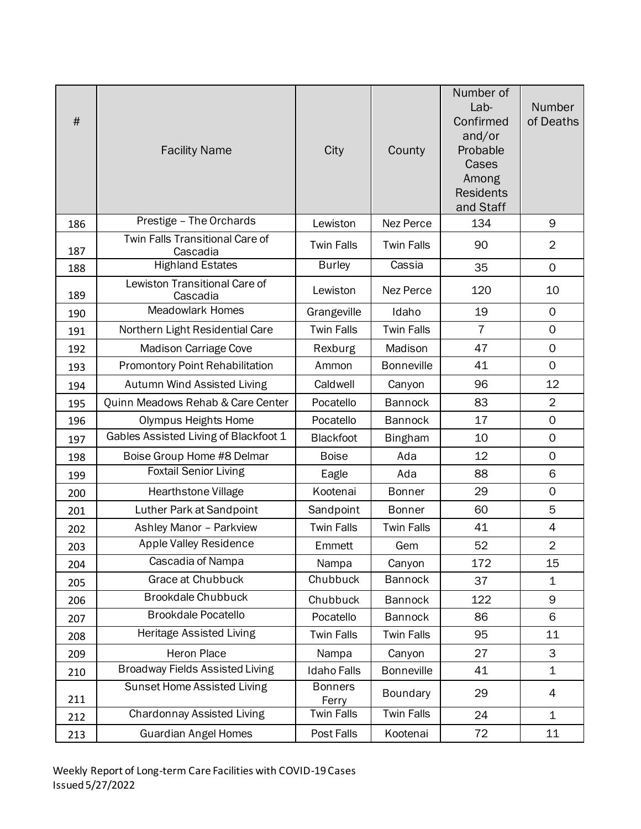| $\#$ | <b>Facility Name</b>                        | City                    | County            | Number of<br>Lab-<br>Confirmed<br>and/or<br>Probable<br>Cases<br>Among<br><b>Residents</b><br>and Staff | Number<br>of Deaths |
|------|---------------------------------------------|-------------------------|-------------------|---------------------------------------------------------------------------------------------------------|---------------------|
| 186  | Prestige - The Orchards                     | Lewiston                | Nez Perce         | 134                                                                                                     | 9                   |
| 187  | Twin Falls Transitional Care of<br>Cascadia | <b>Twin Falls</b>       | <b>Twin Falls</b> | 90                                                                                                      | $\overline{2}$      |
| 188  | <b>Highland Estates</b>                     | <b>Burley</b>           | Cassia            | 35                                                                                                      | $\mathbf 0$         |
| 189  | Lewiston Transitional Care of<br>Cascadia   | Lewiston                | Nez Perce         | 120                                                                                                     | 10                  |
| 190  | <b>Meadowlark Homes</b>                     | Grangeville             | Idaho             | 19                                                                                                      | $\mathbf 0$         |
| 191  | Northern Light Residential Care             | <b>Twin Falls</b>       | <b>Twin Falls</b> | $\overline{7}$                                                                                          | $\mathbf 0$         |
| 192  | <b>Madison Carriage Cove</b>                | Rexburg                 | Madison           | 47                                                                                                      | $\mathbf 0$         |
| 193  | <b>Promontory Point Rehabilitation</b>      | Ammon                   | <b>Bonneville</b> | 41                                                                                                      | $\mathbf 0$         |
| 194  | Autumn Wind Assisted Living                 | Caldwell                | Canyon            | 96                                                                                                      | 12                  |
| 195  | Quinn Meadows Rehab & Care Center           | Pocatello               | <b>Bannock</b>    | 83                                                                                                      | $\overline{2}$      |
| 196  | <b>Olympus Heights Home</b>                 | Pocatello               | <b>Bannock</b>    | 17                                                                                                      | $\mathsf{O}\xspace$ |
| 197  | Gables Assisted Living of Blackfoot 1       | <b>Blackfoot</b>        | <b>Bingham</b>    | 10                                                                                                      | $\mathbf 0$         |
| 198  | Boise Group Home #8 Delmar                  | <b>Boise</b>            | Ada               | 12                                                                                                      | 0                   |
| 199  | <b>Foxtail Senior Living</b>                | Eagle                   | Ada               | 88                                                                                                      | 6                   |
| 200  | Hearthstone Village                         | Kootenai                | <b>Bonner</b>     | 29                                                                                                      | $\mathbf 0$         |
| 201  | Luther Park at Sandpoint                    | Sandpoint               | <b>Bonner</b>     | 60                                                                                                      | 5                   |
| 202  | Ashley Manor - Parkview                     | <b>Twin Falls</b>       | <b>Twin Falls</b> | 41                                                                                                      | 4                   |
| 203  | <b>Apple Valley Residence</b>               | Emmett                  | Gem               | 52                                                                                                      | $\overline{2}$      |
| 204  | Cascadia of Nampa                           | Nampa                   | Canyon            | 172                                                                                                     | 15                  |
| 205  | Grace at Chubbuck                           | Chubbuck                | <b>Bannock</b>    | 37                                                                                                      | $\mathbf 1$         |
| 206  | <b>Brookdale Chubbuck</b>                   | Chubbuck                | <b>Bannock</b>    | 122                                                                                                     | 9                   |
| 207  | <b>Brookdale Pocatello</b>                  | Pocatello               | <b>Bannock</b>    | 86                                                                                                      | 6                   |
| 208  | Heritage Assisted Living                    | <b>Twin Falls</b>       | <b>Twin Falls</b> | 95                                                                                                      | 11                  |
| 209  | Heron Place                                 | Nampa                   | Canyon            | 27                                                                                                      | 3                   |
| 210  | <b>Broadway Fields Assisted Living</b>      | <b>Idaho Falls</b>      | <b>Bonneville</b> | 41                                                                                                      | $\mathbf 1$         |
| 211  | <b>Sunset Home Assisted Living</b>          | <b>Bonners</b><br>Ferry | Boundary          | 29                                                                                                      | $\overline{4}$      |
| 212  | <b>Chardonnay Assisted Living</b>           | <b>Twin Falls</b>       | <b>Twin Falls</b> | 24                                                                                                      | $\mathbf{1}$        |
| 213  | <b>Guardian Angel Homes</b>                 | Post Falls              | Kootenai          | 72                                                                                                      | 11                  |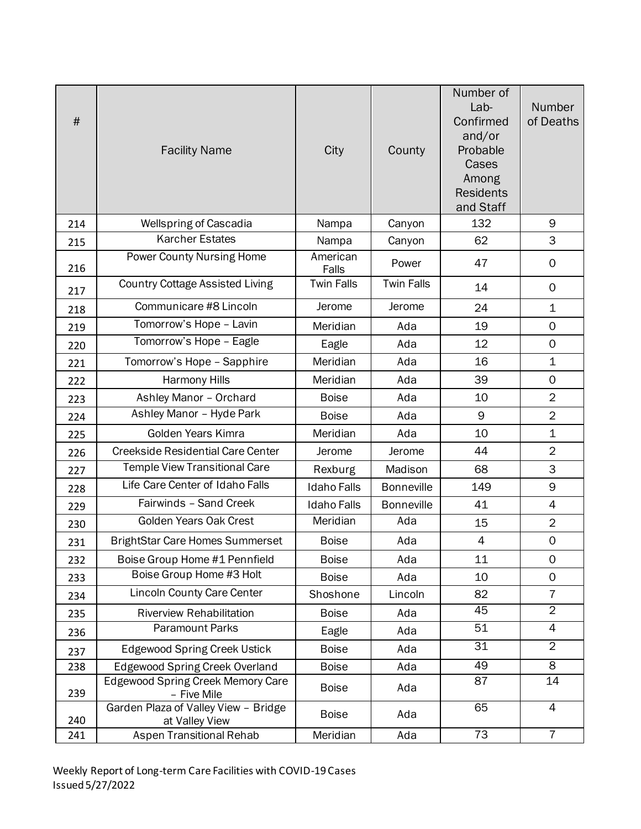| #   | <b>Facility Name</b>                                    | City               | County            | Number of<br>Lab-<br>Confirmed<br>and/or<br>Probable<br>Cases<br>Among<br><b>Residents</b><br>and Staff | Number<br>of Deaths |
|-----|---------------------------------------------------------|--------------------|-------------------|---------------------------------------------------------------------------------------------------------|---------------------|
| 214 | <b>Wellspring of Cascadia</b>                           | Nampa              | Canyon            | 132                                                                                                     | 9                   |
| 215 | <b>Karcher Estates</b>                                  | Nampa              | Canyon            | 62                                                                                                      | 3                   |
| 216 | Power County Nursing Home                               | American<br>Falls  | Power             | 47                                                                                                      | $\mathbf 0$         |
| 217 | <b>Country Cottage Assisted Living</b>                  | <b>Twin Falls</b>  | <b>Twin Falls</b> | 14                                                                                                      | $\mathbf 0$         |
| 218 | Communicare #8 Lincoln                                  | Jerome             | Jerome            | 24                                                                                                      | $\mathbf 1$         |
| 219 | Tomorrow's Hope - Lavin                                 | Meridian           | Ada               | 19                                                                                                      | $\mathbf 0$         |
| 220 | Tomorrow's Hope - Eagle                                 | Eagle              | Ada               | 12                                                                                                      | $\mathbf 0$         |
| 221 | Tomorrow's Hope - Sapphire                              | Meridian           | Ada               | 16                                                                                                      | $\mathbf{1}$        |
| 222 | Harmony Hills                                           | Meridian           | Ada               | 39                                                                                                      | $\mathbf 0$         |
| 223 | Ashley Manor - Orchard                                  | <b>Boise</b>       | Ada               | 10                                                                                                      | $\overline{2}$      |
| 224 | Ashley Manor - Hyde Park                                | <b>Boise</b>       | Ada               | 9                                                                                                       | $\overline{2}$      |
| 225 | Golden Years Kimra                                      | Meridian           | Ada               | 10                                                                                                      | $\mathbf 1$         |
| 226 | <b>Creekside Residential Care Center</b>                | Jerome             | Jerome            | 44                                                                                                      | $\overline{2}$      |
| 227 | <b>Temple View Transitional Care</b>                    | Rexburg            | Madison           | 68                                                                                                      | 3                   |
| 228 | Life Care Center of Idaho Falls                         | <b>Idaho Falls</b> | <b>Bonneville</b> | 149                                                                                                     | 9                   |
| 229 | Fairwinds - Sand Creek                                  | <b>Idaho Falls</b> | <b>Bonneville</b> | 41                                                                                                      | $\overline{4}$      |
| 230 | Golden Years Oak Crest                                  | Meridian           | Ada               | 15                                                                                                      | $\overline{2}$      |
| 231 | <b>BrightStar Care Homes Summerset</b>                  | <b>Boise</b>       | Ada               | $\overline{4}$                                                                                          | $\mathsf{O}\xspace$ |
| 232 | Boise Group Home #1 Pennfield                           | <b>Boise</b>       | Ada               | 11                                                                                                      | 0                   |
| 233 | Boise Group Home #3 Holt                                | <b>Boise</b>       | Ada               | 10                                                                                                      | 0                   |
| 234 | <b>Lincoln County Care Center</b>                       | Shoshone           | Lincoln           | 82                                                                                                      | $\overline{7}$      |
| 235 | <b>Riverview Rehabilitation</b>                         | <b>Boise</b>       | Ada               | 45                                                                                                      | $\overline{2}$      |
| 236 | <b>Paramount Parks</b>                                  | Eagle              | Ada               | 51                                                                                                      | $\overline{4}$      |
| 237 | <b>Edgewood Spring Creek Ustick</b>                     | <b>Boise</b>       | Ada               | 31                                                                                                      | 2                   |
| 238 | <b>Edgewood Spring Creek Overland</b>                   | <b>Boise</b>       | Ada               | 49                                                                                                      | $\overline{\infty}$ |
| 239 | <b>Edgewood Spring Creek Memory Care</b><br>- Five Mile | <b>Boise</b>       | Ada               | 87                                                                                                      | 14                  |
| 240 | Garden Plaza of Valley View - Bridge<br>at Valley View  | <b>Boise</b>       | Ada               | 65                                                                                                      | $\overline{4}$      |
| 241 | Aspen Transitional Rehab                                | Meridian           | Ada               | $\overline{73}$                                                                                         | $\overline{7}$      |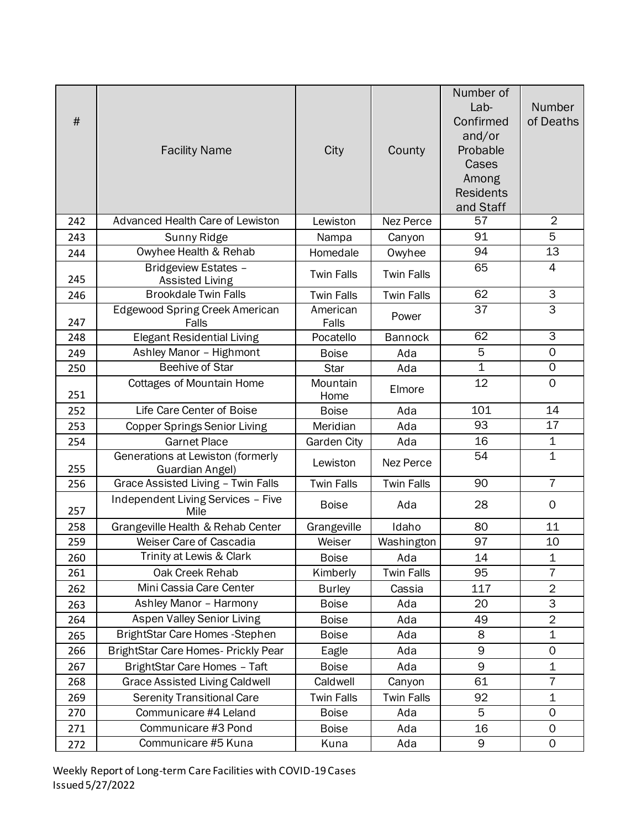| $\#$ | <b>Facility Name</b>                                 | City              | County            | Number of<br>Lab-<br>Confirmed<br>and/or<br>Probable<br>Cases<br>Among<br><b>Residents</b><br>and Staff | Number<br>of Deaths |
|------|------------------------------------------------------|-------------------|-------------------|---------------------------------------------------------------------------------------------------------|---------------------|
| 242  | <b>Advanced Health Care of Lewiston</b>              | Lewiston          | Nez Perce         | 57                                                                                                      | $\overline{2}$      |
| 243  | Sunny Ridge                                          | Nampa             | Canyon            | 91                                                                                                      | 5                   |
| 244  | Owyhee Health & Rehab                                | Homedale          | Owyhee            | 94                                                                                                      | 13                  |
| 245  | Bridgeview Estates -<br><b>Assisted Living</b>       | <b>Twin Falls</b> | <b>Twin Falls</b> | 65                                                                                                      | $\overline{4}$      |
| 246  | <b>Brookdale Twin Falls</b>                          | <b>Twin Falls</b> | <b>Twin Falls</b> | 62                                                                                                      | 3                   |
| 247  | Edgewood Spring Creek American<br>Falls              | American<br>Falls | Power             | 37                                                                                                      | $\overline{3}$      |
| 248  | <b>Elegant Residential Living</b>                    | Pocatello         | <b>Bannock</b>    | 62                                                                                                      | $\overline{\omega}$ |
| 249  | Ashley Manor - Highmont                              | <b>Boise</b>      | Ada               | 5                                                                                                       | $\mathbf 0$         |
| 250  | <b>Beehive of Star</b>                               | Star              | Ada               | $\overline{1}$                                                                                          | 0                   |
| 251  | <b>Cottages of Mountain Home</b>                     | Mountain<br>Home  | Elmore            | 12                                                                                                      | $\mathsf{O}$        |
| 252  | Life Care Center of Boise                            | <b>Boise</b>      | Ada               | 101                                                                                                     | 14                  |
| 253  | <b>Copper Springs Senior Living</b>                  | Meridian          | Ada               | $\overline{93}$                                                                                         | 17                  |
| 254  | <b>Garnet Place</b>                                  | Garden City       | Ada               | 16                                                                                                      | 1                   |
| 255  | Generations at Lewiston (formerly<br>Guardian Angel) | Lewiston          | <b>Nez Perce</b>  | $\overline{54}$                                                                                         | $\overline{1}$      |
| 256  | Grace Assisted Living - Twin Falls                   | <b>Twin Falls</b> | <b>Twin Falls</b> | 90                                                                                                      | $\overline{7}$      |
| 257  | Independent Living Services - Five<br>Mile           | <b>Boise</b>      | Ada               | 28                                                                                                      | $\mathbf 0$         |
| 258  | Grangeville Health & Rehab Center                    | Grangeville       | Idaho             | 80                                                                                                      | 11                  |
| 259  | Weiser Care of Cascadia                              | Weiser            | Washington        | 97                                                                                                      | 10                  |
| 260  | Trinity at Lewis & Clark                             | <b>Boise</b>      | Ada               | 14                                                                                                      | $\mathbf 1$         |
| 261  | Oak Creek Rehab                                      | Kimberly          | <b>Twin Falls</b> | 95                                                                                                      | 7                   |
| 262  | Mini Cassia Care Center                              | <b>Burley</b>     | Cassia            | 117                                                                                                     | $\overline{2}$      |
| 263  | Ashley Manor - Harmony                               | <b>Boise</b>      | Ada               | 20                                                                                                      | $\overline{3}$      |
| 264  | <b>Aspen Valley Senior Living</b>                    | <b>Boise</b>      | Ada               | 49                                                                                                      | $\overline{2}$      |
| 265  | BrightStar Care Homes - Stephen                      | <b>Boise</b>      | Ada               | 8                                                                                                       | $\mathbf 1$         |
| 266  | BrightStar Care Homes- Prickly Pear                  | Eagle             | Ada               | 9                                                                                                       | 0                   |
| 267  | BrightStar Care Homes - Taft                         | <b>Boise</b>      | Ada               | 9                                                                                                       | $\mathbf 1$         |
| 268  | <b>Grace Assisted Living Caldwell</b>                | Caldwell          | Canyon            | 61                                                                                                      | $\overline{7}$      |
| 269  | <b>Serenity Transitional Care</b>                    | <b>Twin Falls</b> | <b>Twin Falls</b> | 92                                                                                                      | $\mathbf 1$         |
| 270  | Communicare #4 Leland                                | <b>Boise</b>      | Ada               | 5                                                                                                       | 0                   |
| 271  | Communicare #3 Pond                                  | <b>Boise</b>      | Ada               | 16                                                                                                      | 0                   |
| 272  | Communicare #5 Kuna                                  | Kuna              | Ada               | 9                                                                                                       | $\mathsf{O}$        |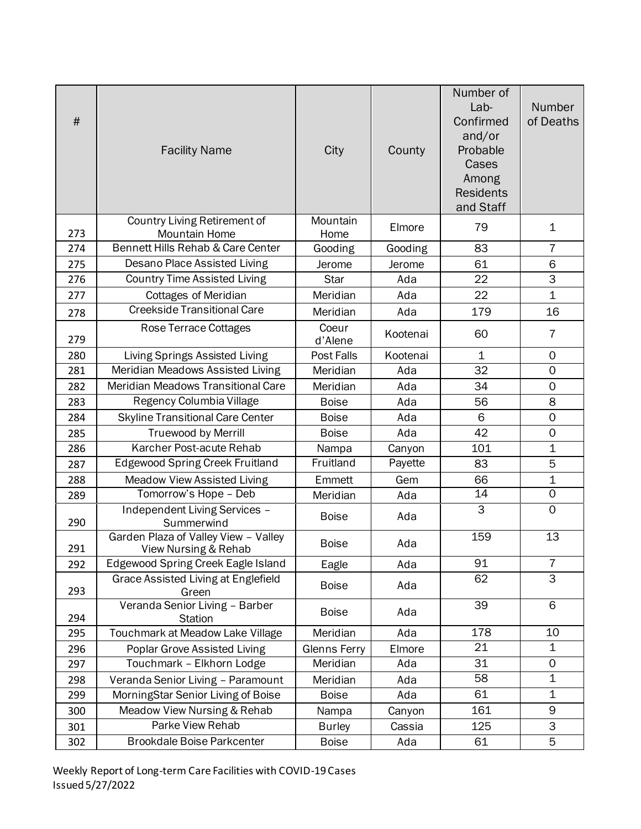| $\#$ | <b>Facility Name</b>                                         | City                | County   | Number of<br>Lab-<br>Confirmed<br>and/or<br>Probable<br>Cases<br>Among<br><b>Residents</b><br>and Staff | Number<br>of Deaths |
|------|--------------------------------------------------------------|---------------------|----------|---------------------------------------------------------------------------------------------------------|---------------------|
| 273  | Country Living Retirement of<br><b>Mountain Home</b>         | Mountain<br>Home    | Elmore   | 79                                                                                                      | 1                   |
| 274  | Bennett Hills Rehab & Care Center                            | Gooding             | Gooding  | 83                                                                                                      | $\overline{7}$      |
| 275  | Desano Place Assisted Living                                 | Jerome              | Jerome   | 61                                                                                                      | 6                   |
| 276  | <b>Country Time Assisted Living</b>                          | <b>Star</b>         | Ada      | 22                                                                                                      | 3                   |
| 277  | <b>Cottages of Meridian</b>                                  | Meridian            | Ada      | 22                                                                                                      | $\mathbf{1}$        |
| 278  | <b>Creekside Transitional Care</b>                           | Meridian            | Ada      | 179                                                                                                     | 16                  |
| 279  | Rose Terrace Cottages                                        | Coeur<br>d'Alene    | Kootenai | 60                                                                                                      | 7                   |
| 280  | Living Springs Assisted Living                               | Post Falls          | Kootenai | $\mathbf 1$                                                                                             | 0                   |
| 281  | Meridian Meadows Assisted Living                             | Meridian            | Ada      | 32                                                                                                      | $\mathsf{O}\xspace$ |
| 282  | Meridian Meadows Transitional Care                           | Meridian            | Ada      | 34                                                                                                      | $\mathsf{O}\xspace$ |
| 283  | Regency Columbia Village                                     | <b>Boise</b>        | Ada      | 56                                                                                                      | 8                   |
| 284  | <b>Skyline Transitional Care Center</b>                      | <b>Boise</b>        | Ada      | 6                                                                                                       | $\mathsf{O}\xspace$ |
| 285  | <b>Truewood by Merrill</b>                                   | <b>Boise</b>        | Ada      | 42                                                                                                      | $\mathsf{O}\xspace$ |
| 286  | Karcher Post-acute Rehab                                     | Nampa               | Canyon   | 101                                                                                                     | $\mathbf 1$         |
| 287  | <b>Edgewood Spring Creek Fruitland</b>                       | Fruitland           | Payette  | 83                                                                                                      | 5                   |
| 288  | <b>Meadow View Assisted Living</b>                           | Emmett              | Gem      | 66                                                                                                      | $\mathbf 1$         |
| 289  | Tomorrow's Hope - Deb                                        | Meridian            | Ada      | 14                                                                                                      | $\mathbf 0$         |
| 290  | Independent Living Services -<br>Summerwind                  | <b>Boise</b>        | Ada      | $\overline{\omega}$                                                                                     | $\mathbf 0$         |
| 291  | Garden Plaza of Valley View - Valley<br>View Nursing & Rehab | <b>Boise</b>        | Ada      | 159                                                                                                     | 13                  |
| 292  | Edgewood Spring Creek Eagle Island                           | Eagle               | Ada      | 91                                                                                                      | $\overline{7}$      |
| 293  | Grace Assisted Living at Englefield<br>Green                 | <b>Boise</b>        | Ada      | 62                                                                                                      | $\overline{\omega}$ |
| 294  | Veranda Senior Living - Barber<br><b>Station</b>             | <b>Boise</b>        | Ada      | 39                                                                                                      | 6                   |
| 295  | Touchmark at Meadow Lake Village                             | Meridian            | Ada      | $\overline{178}$                                                                                        | 10                  |
| 296  | Poplar Grove Assisted Living                                 | <b>Glenns Ferry</b> | Elmore   | 21                                                                                                      | $\mathbf 1$         |
| 297  | Touchmark - Elkhorn Lodge                                    | Meridian            | Ada      | 31                                                                                                      | 0                   |
| 298  | Veranda Senior Living - Paramount                            | Meridian            | Ada      | 58                                                                                                      | $\mathbf 1$         |
| 299  | MorningStar Senior Living of Boise                           | <b>Boise</b>        | Ada      | 61                                                                                                      | $\mathbf 1$         |
| 300  | Meadow View Nursing & Rehab                                  | Nampa               | Canyon   | 161                                                                                                     | 9                   |
| 301  | Parke View Rehab                                             | <b>Burley</b>       | Cassia   | 125                                                                                                     | 3                   |
| 302  | <b>Brookdale Boise Parkcenter</b>                            | <b>Boise</b>        | Ada      | 61                                                                                                      | 5                   |